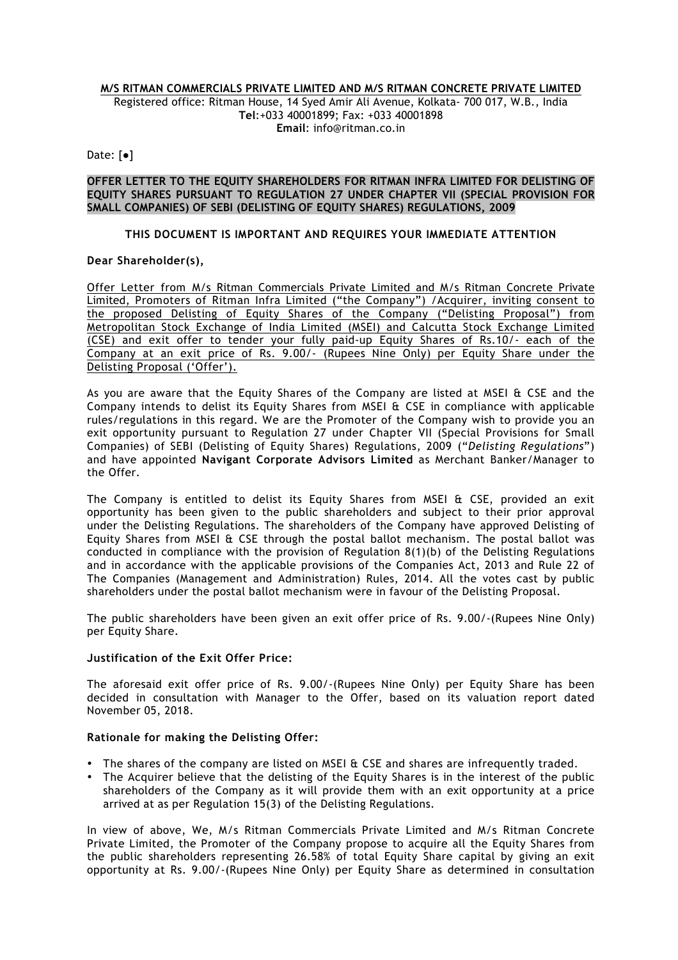#### **M/S RITMAN COMMERCIALS PRIVATE LIMITED AND M/S RITMAN CONCRETE PRIVATE LIMITED**

Registered office: Ritman House, 14 Syed Amir Ali Avenue, Kolkata- 700 017, W.B., India **Tel**:+033 40001899; Fax: +033 40001898 **Email**: info@ritman.co.in

Date: [●]

### **OFFER LETTER TO THE EQUITY SHAREHOLDERS FOR RITMAN INFRA LIMITED FOR DELISTING OF EQUITY SHARES PURSUANT TO REGULATION 27 UNDER CHAPTER VII (SPECIAL PROVISION FOR SMALL COMPANIES) OF SEBI (DELISTING OF EQUITY SHARES) REGULATIONS, 2009**

## **THIS DOCUMENT IS IMPORTANT AND REQUIRES YOUR IMMEDIATE ATTENTION**

#### **Dear Shareholder(s),**

Offer Letter from M/s Ritman Commercials Private Limited and M/s Ritman Concrete Private Limited, Promoters of Ritman Infra Limited ("the Company") /Acquirer, inviting consent to the proposed Delisting of Equity Shares of the Company ("Delisting Proposal") from Metropolitan Stock Exchange of India Limited (MSEI) and Calcutta Stock Exchange Limited (CSE) and exit offer to tender your fully paid-up Equity Shares of Rs.10/- each of the Company at an exit price of Rs. 9.00/- (Rupees Nine Only) per Equity Share under the Delisting Proposal ('Offer').

As you are aware that the Equity Shares of the Company are listed at MSEI & CSE and the Company intends to delist its Equity Shares from MSEI & CSE in compliance with applicable rules/regulations in this regard. We are the Promoter of the Company wish to provide you an exit opportunity pursuant to Regulation 27 under Chapter VII (Special Provisions for Small Companies) of SEBI (Delisting of Equity Shares) Regulations, 2009 ("*Delisting Regulations*") and have appointed **Navigant Corporate Advisors Limited** as Merchant Banker/Manager to the Offer.

The Company is entitled to delist its Equity Shares from MSEI & CSE, provided an exit opportunity has been given to the public shareholders and subject to their prior approval under the Delisting Regulations. The shareholders of the Company have approved Delisting of Equity Shares from MSEI & CSE through the postal ballot mechanism. The postal ballot was conducted in compliance with the provision of Regulation 8(1)(b) of the Delisting Regulations and in accordance with the applicable provisions of the Companies Act, 2013 and Rule 22 of The Companies (Management and Administration) Rules, 2014. All the votes cast by public shareholders under the postal ballot mechanism were in favour of the Delisting Proposal.

The public shareholders have been given an exit offer price of Rs. 9.00/-(Rupees Nine Only) per Equity Share.

## **Justification of the Exit Offer Price:**

The aforesaid exit offer price of Rs. 9.00/-(Rupees Nine Only) per Equity Share has been decided in consultation with Manager to the Offer, based on its valuation report dated November 05, 2018.

#### **Rationale for making the Delisting Offer:**

- The shares of the company are listed on MSEI & CSE and shares are infrequently traded.
- The Acquirer believe that the delisting of the Equity Shares is in the interest of the public shareholders of the Company as it will provide them with an exit opportunity at a price arrived at as per Regulation 15(3) of the Delisting Regulations.

In view of above, We, M/s Ritman Commercials Private Limited and M/s Ritman Concrete Private Limited, the Promoter of the Company propose to acquire all the Equity Shares from the public shareholders representing 26.58% of total Equity Share capital by giving an exit opportunity at Rs. 9.00/-(Rupees Nine Only) per Equity Share as determined in consultation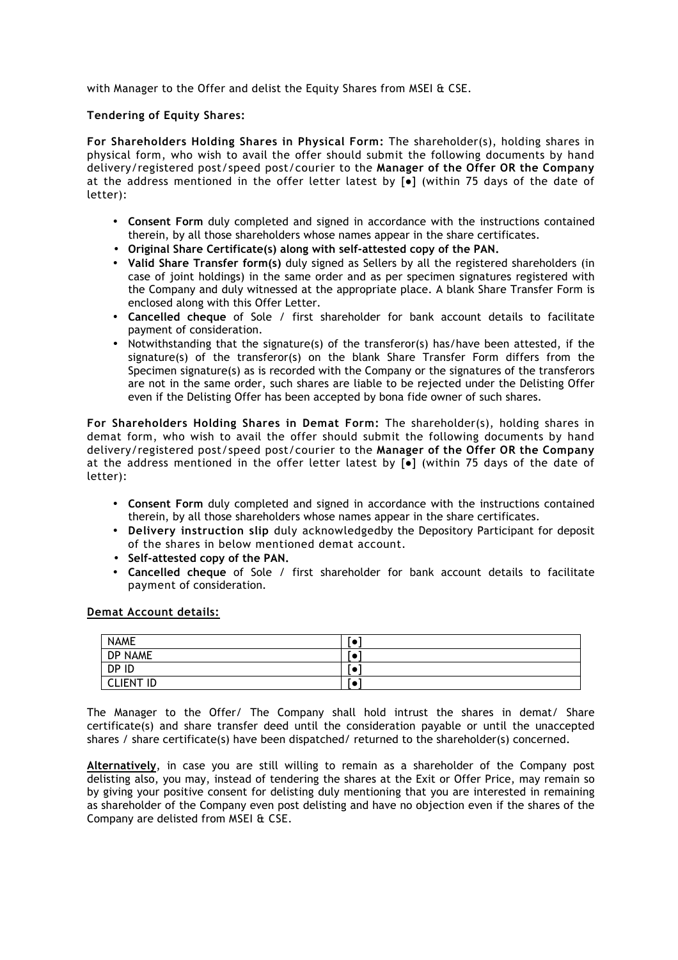with Manager to the Offer and delist the Equity Shares from MSEI & CSE.

### **Tendering of Equity Shares:**

**For Shareholders Holding Shares in Physical Form:** The shareholder(s), holding shares in physical form, who wish to avail the offer should submit the following documents by hand delivery/registered post/speed post/courier to the **Manager of the Offer OR the Company** at the address mentioned in the offer letter latest by  $[•]$  (within 75 days of the date of letter):

- **Consent Form** duly completed and signed in accordance with the instructions contained therein, by all those shareholders whose names appear in the share certificates.
- **Original Share Certificate(s) along with self-attested copy of the PAN.**
- **Valid Share Transfer form(s)** duly signed as Sellers by all the registered shareholders (in case of joint holdings) in the same order and as per specimen signatures registered with the Company and duly witnessed at the appropriate place. A blank Share Transfer Form is enclosed along with this Offer Letter.
- **Cancelled cheque** of Sole / first shareholder for bank account details to facilitate payment of consideration.
- Notwithstanding that the signature(s) of the transferor(s) has/have been attested, if the signature(s) of the transferor(s) on the blank Share Transfer Form differs from the Specimen signature(s) as is recorded with the Company or the signatures of the transferors are not in the same order, such shares are liable to be rejected under the Delisting Offer even if the Delisting Offer has been accepted by bona fide owner of such shares.

**For Shareholders Holding Shares in Demat Form:** The shareholder(s), holding shares in demat form, who wish to avail the offer should submit the following documents by hand delivery/registered post/speed post/courier to the **Manager of the Offer OR the Company** at the address mentioned in the offer letter latest by  $[•]$  (within 75 days of the date of letter):

- **Consent Form** duly completed and signed in accordance with the instructions contained therein, by all those shareholders whose names appear in the share certificates.
- **Delivery instruction slip** duly acknowledgedby the Depository Participant for deposit of the shares in below mentioned demat account.
- **Self-attested copy of the PAN.**
- **Cancelled cheque** of Sole / first shareholder for bank account details to facilitate payment of consideration.

# **Demat Account details:**

| <b>NAME</b>      | J.                       |
|------------------|--------------------------|
| DP NAME          | J.                       |
| DP ID            | $\overline{\phantom{a}}$ |
| <b>CLIENT ID</b> | ، د                      |

The Manager to the Offer/ The Company shall hold intrust the shares in demat/ Share certificate(s) and share transfer deed until the consideration payable or until the unaccepted shares / share certificate(s) have been dispatched/ returned to the shareholder(s) concerned.

**Alternatively**, in case you are still willing to remain as a shareholder of the Company post delisting also, you may, instead of tendering the shares at the Exit or Offer Price, may remain so by giving your positive consent for delisting duly mentioning that you are interested in remaining as shareholder of the Company even post delisting and have no objection even if the shares of the Company are delisted from MSEI & CSE.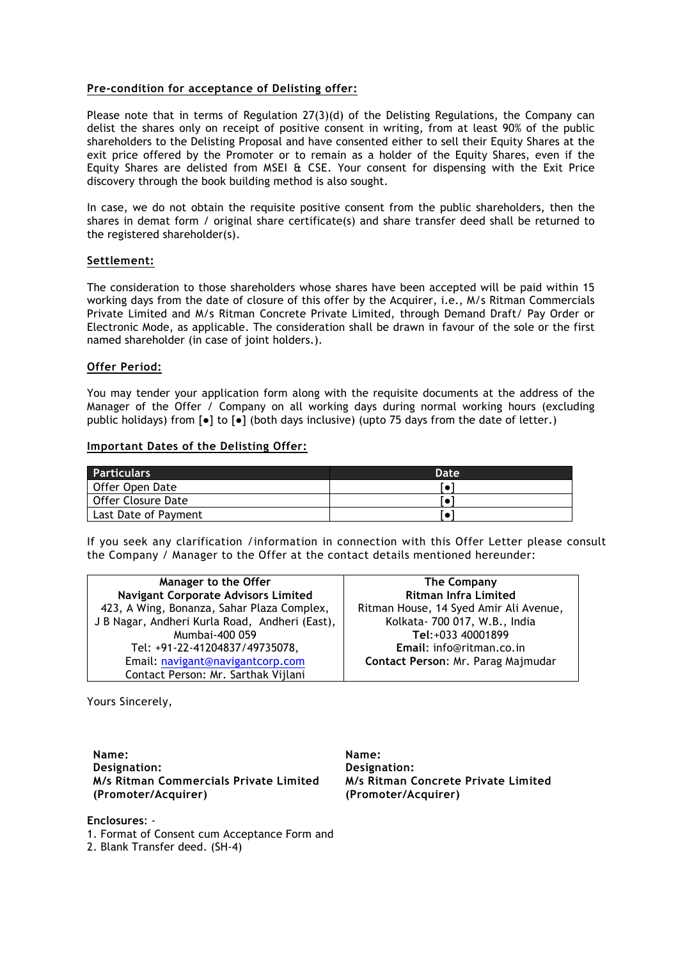## **Pre-condition for acceptance of Delisting offer:**

Please note that in terms of Regulation 27(3)(d) of the Delisting Regulations, the Company can delist the shares only on receipt of positive consent in writing, from at least 90% of the public shareholders to the Delisting Proposal and have consented either to sell their Equity Shares at the exit price offered by the Promoter or to remain as a holder of the Equity Shares, even if the Equity Shares are delisted from MSEI & CSE. Your consent for dispensing with the Exit Price discovery through the book building method is also sought.

In case, we do not obtain the requisite positive consent from the public shareholders, then the shares in demat form / original share certificate(s) and share transfer deed shall be returned to the registered shareholder(s).

#### **Settlement:**

The consideration to those shareholders whose shares have been accepted will be paid within 15 working days from the date of closure of this offer by the Acquirer, i.e., M/s Ritman Commercials Private Limited and M/s Ritman Concrete Private Limited, through Demand Draft/ Pay Order or Electronic Mode, as applicable. The consideration shall be drawn in favour of the sole or the first named shareholder (in case of joint holders.).

#### **Offer Period:**

You may tender your application form along with the requisite documents at the address of the Manager of the Offer / Company on all working days during normal working hours (excluding public holidays) from  $\lceil \bullet \rceil$  to  $\lceil \bullet \rceil$  (both days inclusive) (upto 75 days from the date of letter.)

#### **Important Dates of the Delisting Offer:**

| <b>Particulars</b>   | Date |
|----------------------|------|
| Offer Open Date      |      |
| Offer Closure Date   |      |
| Last Date of Payment |      |

If you seek any clarification /information in connection with this Offer Letter please consult the Company / Manager to the Offer at the contact details mentioned hereunder:

| Manager to the Offer                           | The Company                            |
|------------------------------------------------|----------------------------------------|
| <b>Navigant Corporate Advisors Limited</b>     | <b>Ritman Infra Limited</b>            |
| 423, A Wing, Bonanza, Sahar Plaza Complex,     | Ritman House, 14 Syed Amir Ali Avenue, |
| J B Nagar, Andheri Kurla Road, Andheri (East), | Kolkata- 700 017, W.B., India          |
| Mumbai-400 059                                 | Tel:+033 40001899                      |
| Tel: +91-22-41204837/49735078,                 | Email: info@ritman.co.in               |
| Email: navigant@navigantcorp.com               | Contact Person: Mr. Parag Majmudar     |
| Contact Person: Mr. Sarthak Vijlani            |                                        |

Yours Sincerely,

**Name: Designation: M/s Ritman Commercials Private Limited (Promoter/Acquirer)**

**Name: Designation: M/s Ritman Concrete Private Limited (Promoter/Acquirer)**

**Enclosures**: -

1. Format of Consent cum Acceptance Form and

2. Blank Transfer deed. (SH-4)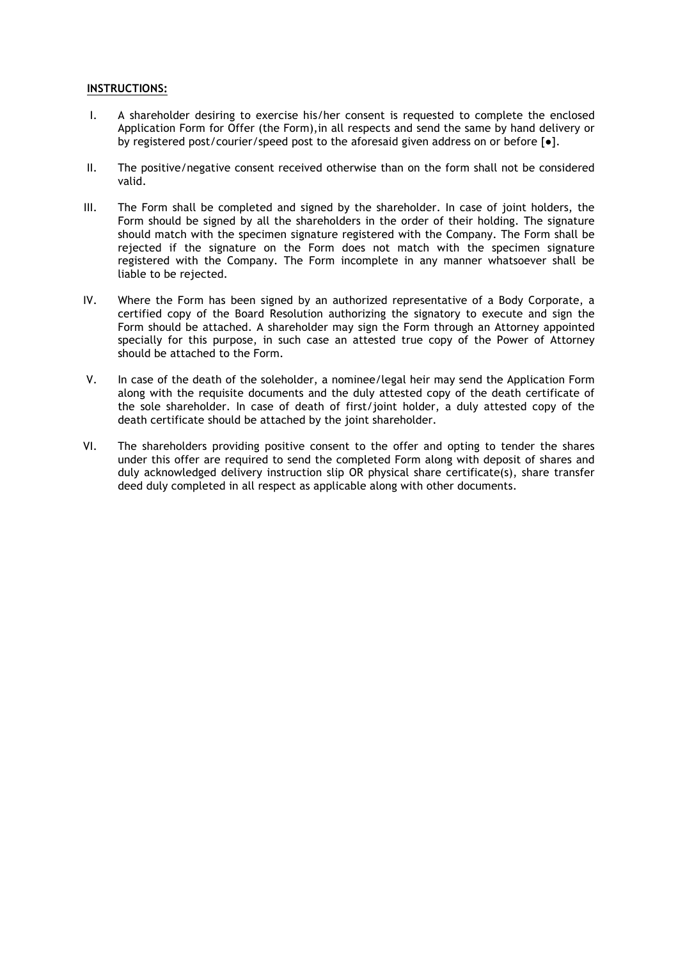### **INSTRUCTIONS:**

- I. A shareholder desiring to exercise his/her consent is requested to complete the enclosed Application Form for Offer (the Form),in all respects and send the same by hand delivery or by registered post/courier/speed post to the aforesaid given address on or before  $\lceil \bullet \rceil$ .
- II. The positive/negative consent received otherwise than on the form shall not be considered valid.
- III. The Form shall be completed and signed by the shareholder. In case of joint holders, the Form should be signed by all the shareholders in the order of their holding. The signature should match with the specimen signature registered with the Company. The Form shall be rejected if the signature on the Form does not match with the specimen signature registered with the Company. The Form incomplete in any manner whatsoever shall be liable to be rejected.
- IV. Where the Form has been signed by an authorized representative of a Body Corporate, a certified copy of the Board Resolution authorizing the signatory to execute and sign the Form should be attached. A shareholder may sign the Form through an Attorney appointed specially for this purpose, in such case an attested true copy of the Power of Attorney should be attached to the Form.
- V. In case of the death of the soleholder, a nominee/legal heir may send the Application Form along with the requisite documents and the duly attested copy of the death certificate of the sole shareholder. In case of death of first/joint holder, a duly attested copy of the death certificate should be attached by the joint shareholder.
- VI. The shareholders providing positive consent to the offer and opting to tender the shares under this offer are required to send the completed Form along with deposit of shares and duly acknowledged delivery instruction slip OR physical share certificate(s), share transfer deed duly completed in all respect as applicable along with other documents.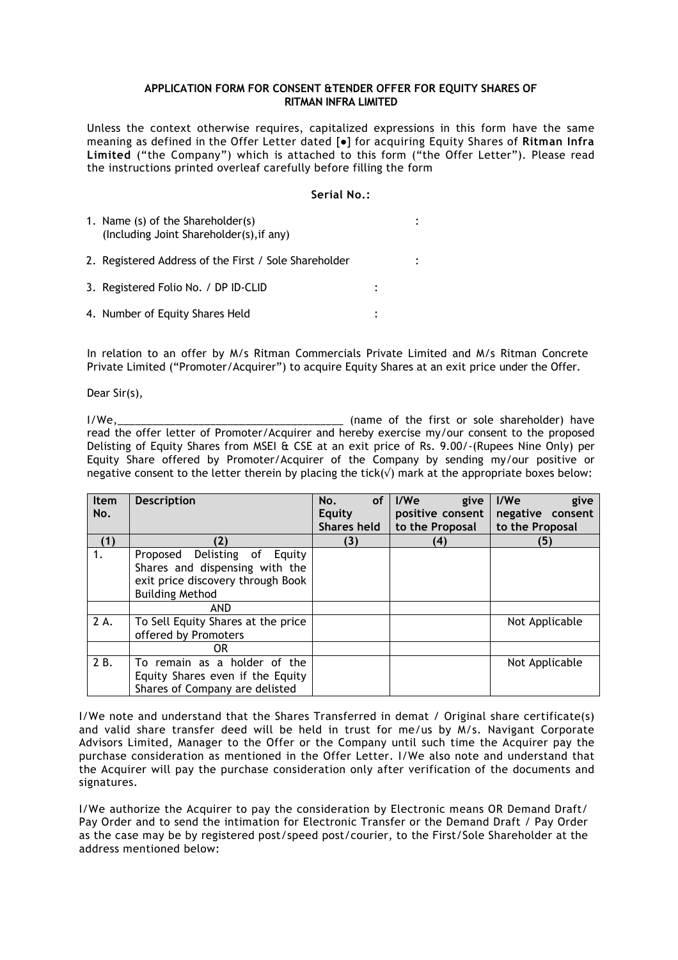### **APPLICATION FORM FOR CONSENT &TENDER OFFER FOR EQUITY SHARES OF RITMAN INFRA LIMITED**

Unless the context otherwise requires, capitalized expressions in this form have the same meaning as defined in the Offer Letter dated [●] for acquiring Equity Shares of **Ritman Infra Limited** ("the Company") which is attached to this form ("the Offer Letter"). Please read the instructions printed overleaf carefully before filling the form

### **Serial No.:**

| 1. Name (s) of the Shareholder(s)<br>(Including Joint Shareholder(s), if any) |  |
|-------------------------------------------------------------------------------|--|
| 2. Registered Address of the First / Sole Shareholder                         |  |
| 3. Registered Folio No. / DP ID-CLID                                          |  |
| 4. Number of Equity Shares Held                                               |  |

In relation to an offer by M/s Ritman Commercials Private Limited and M/s Ritman Concrete Private Limited ("Promoter/Acquirer") to acquire Equity Shares at an exit price under the Offer.

Dear Sir(s),

I/We,\_\_\_\_\_\_\_\_\_\_\_\_\_\_\_\_\_\_\_\_\_\_\_\_\_\_\_\_\_\_\_\_\_\_\_\_\_\_\_ (name of the first or sole shareholder) have read the offer letter of Promoter/Acquirer and hereby exercise my/our consent to the proposed Delisting of Equity Shares from MSEI & CSE at an exit price of Rs. 9.00/-(Rupees Nine Only) per Equity Share offered by Promoter/Acquirer of the Company by sending my/our positive or negative consent to the letter therein by placing the tick( $\sqrt{ }$ ) mark at the appropriate boxes below:

| <b>Item</b> | <b>Description</b>                 | No.<br><b>of</b>   | l/We<br>give     | I/W <sub>e</sub><br>give |
|-------------|------------------------------------|--------------------|------------------|--------------------------|
| No.         |                                    | <b>Equity</b>      | positive consent | negative consent         |
|             |                                    | <b>Shares held</b> | to the Proposal  | to the Proposal          |
| (1)         | (2)                                | (3)                | (4)              | (5)                      |
| 1.          | Delisting of Equity<br>Proposed    |                    |                  |                          |
|             | Shares and dispensing with the     |                    |                  |                          |
|             | exit price discovery through Book  |                    |                  |                          |
|             | <b>Building Method</b>             |                    |                  |                          |
|             | <b>AND</b>                         |                    |                  |                          |
| 2 A.        | To Sell Equity Shares at the price |                    |                  | Not Applicable           |
|             | offered by Promoters               |                    |                  |                          |
|             | 0R                                 |                    |                  |                          |
| 2 B.        | To remain as a holder of the       |                    |                  | Not Applicable           |
|             | Equity Shares even if the Equity   |                    |                  |                          |
|             | Shares of Company are delisted     |                    |                  |                          |

I/We note and understand that the Shares Transferred in demat / Original share certificate(s) and valid share transfer deed will be held in trust for me/us by M/s. Navigant Corporate Advisors Limited, Manager to the Offer or the Company until such time the Acquirer pay the purchase consideration as mentioned in the Offer Letter. I/We also note and understand that the Acquirer will pay the purchase consideration only after verification of the documents and signatures.

I/We authorize the Acquirer to pay the consideration by Electronic means OR Demand Draft/ Pay Order and to send the intimation for Electronic Transfer or the Demand Draft / Pay Order as the case may be by registered post/speed post/courier, to the First/Sole Shareholder at the address mentioned below: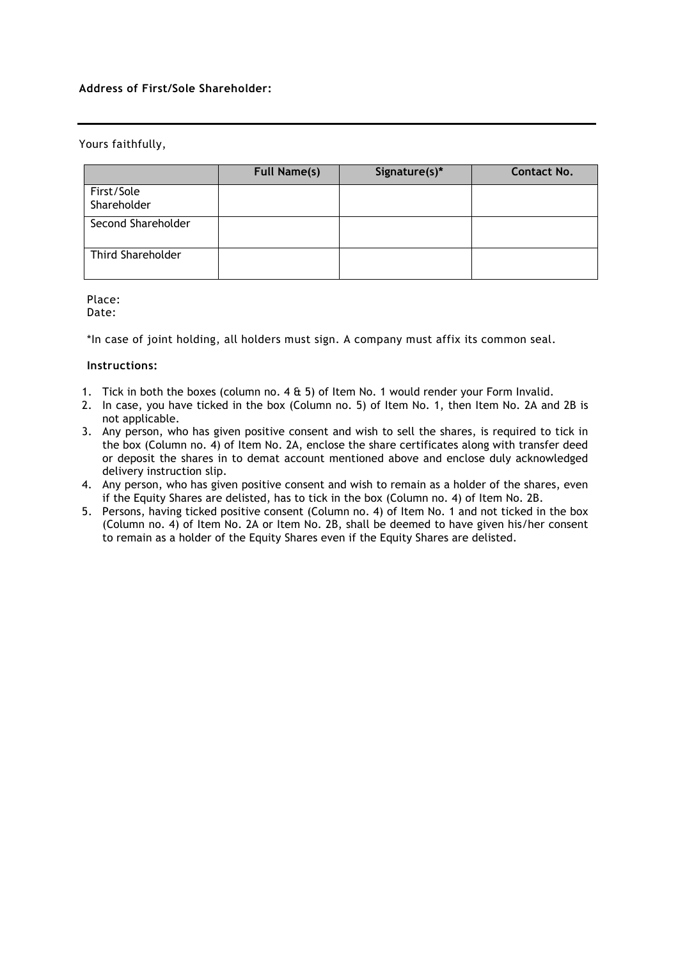# **Address of First/Sole Shareholder:**

# Yours faithfully,

|                           | <b>Full Name(s)</b> | Signature(s)* | <b>Contact No.</b> |
|---------------------------|---------------------|---------------|--------------------|
| First/Sole<br>Shareholder |                     |               |                    |
| Second Shareholder        |                     |               |                    |
| <b>Third Shareholder</b>  |                     |               |                    |

Place:

Date:

\*In case of joint holding, all holders must sign. A company must affix its common seal.

# **Instructions:**

- 1. Tick in both the boxes (column no. 4 & 5) of Item No. 1 would render your Form Invalid.
- 2. In case, you have ticked in the box (Column no. 5) of Item No. 1, then Item No. 2A and 2B is not applicable.
- 3. Any person, who has given positive consent and wish to sell the shares, is required to tick in the box (Column no. 4) of Item No. 2A, enclose the share certificates along with transfer deed or deposit the shares in to demat account mentioned above and enclose duly acknowledged delivery instruction slip.
- 4. Any person, who has given positive consent and wish to remain as a holder of the shares, even if the Equity Shares are delisted, has to tick in the box (Column no. 4) of Item No. 2B.
- 5. Persons, having ticked positive consent (Column no. 4) of Item No. 1 and not ticked in the box (Column no. 4) of Item No. 2A or Item No. 2B, shall be deemed to have given his/her consent to remain as a holder of the Equity Shares even if the Equity Shares are delisted.